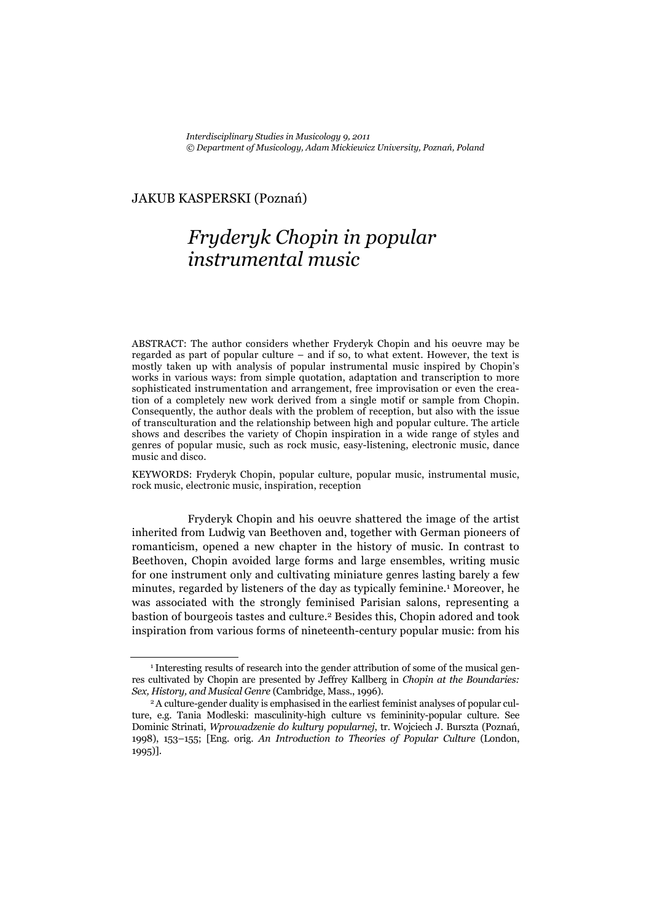## JAKUB KASPERSKI (Poznań)

## *Fryderyk Chopin in popular instrumental music*

ABSTRACT: The author considers whether Fryderyk Chopin and his oeuvre may be regarded as part of popular culture – and if so, to what extent. However, the text is mostly taken up with analysis of popular instrumental music inspired by Chopin's works in various ways: from simple quotation, adaptation and transcription to more sophisticated instrumentation and arrangement, free improvisation or even the creation of a completely new work derived from a single motif or sample from Chopin. Consequently, the author deals with the problem of reception, but also with the issue of transculturation and the relationship between high and popular culture. The article shows and describes the variety of Chopin inspiration in a wide range of styles and genres of popular music, such as rock music, easy-listening, electronic music, dance music and disco.

KEYWORDS: Fryderyk Chopin, popular culture, popular music, instrumental music, rock music, electronic music, inspiration, reception

Fryderyk Chopin and his oeuvre shattered the image of the artist inherited from Ludwig van Beethoven and, together with German pioneers of romanticism, opened a new chapter in the history of music. In contrast to Beethoven, Chopin avoided large forms and large ensembles, writing music for one instrument only and cultivating miniature genres lasting barely a few minutes, regarded by listeners of the day as typically feminine.1 Moreover, he was associated with the strongly feminised Parisian salons, representing a bastion of bourgeois tastes and culture.2 Besides this, Chopin adored and took inspiration from various forms of nineteenth-century popular music: from his

<sup>1</sup> Interesting results of research into the gender attribution of some of the musical genres cultivated by Chopin are presented by Jeffrey Kallberg in *Chopin at the Boundaries: Sex, History, and Musical Genre* (Cambridge, Mass., 1996). 2 A culture-gender duality is emphasised in the earliest feminist analyses of popular cul-

ture, e.g. Tania Modleski: masculinity-high culture vs femininity-popular culture. See Dominic Strinati, *Wprowadzenie do kultury popularnej*, tr. Wojciech J. Burszta (Poznań, 1998), 153–155; [Eng. orig. *An Introduction to Theories of Popular Culture* (London, 1995)].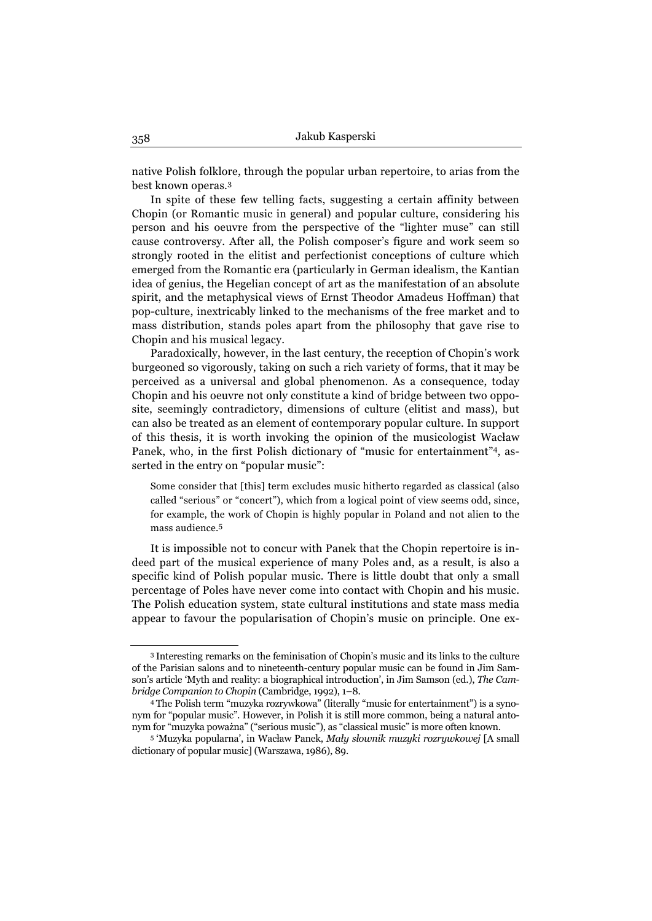native Polish folklore, through the popular urban repertoire, to arias from the best known operas.3

In spite of these few telling facts, suggesting a certain affinity between Chopin (or Romantic music in general) and popular culture, considering his person and his oeuvre from the perspective of the "lighter muse" can still cause controversy. After all, the Polish composer's figure and work seem so strongly rooted in the elitist and perfectionist conceptions of culture which emerged from the Romantic era (particularly in German idealism, the Kantian idea of genius, the Hegelian concept of art as the manifestation of an absolute spirit, and the metaphysical views of Ernst Theodor Amadeus Hoffman) that pop-culture, inextricably linked to the mechanisms of the free market and to mass distribution, stands poles apart from the philosophy that gave rise to Chopin and his musical legacy.

Paradoxically, however, in the last century, the reception of Chopin's work burgeoned so vigorously, taking on such a rich variety of forms, that it may be perceived as a universal and global phenomenon. As a consequence, today Chopin and his oeuvre not only constitute a kind of bridge between two opposite, seemingly contradictory, dimensions of culture (elitist and mass), but can also be treated as an element of contemporary popular culture. In support of this thesis, it is worth invoking the opinion of the musicologist Wacław Panek, who, in the first Polish dictionary of "music for entertainment"4, asserted in the entry on "popular music":

Some consider that [this] term excludes music hitherto regarded as classical (also called "serious" or "concert"), which from a logical point of view seems odd, since, for example, the work of Chopin is highly popular in Poland and not alien to the mass audience.5

It is impossible not to concur with Panek that the Chopin repertoire is indeed part of the musical experience of many Poles and, as a result, is also a specific kind of Polish popular music. There is little doubt that only a small percentage of Poles have never come into contact with Chopin and his music. The Polish education system, state cultural institutions and state mass media appear to favour the popularisation of Chopin's music on principle. One ex-

<sup>3</sup> Interesting remarks on the feminisation of Chopin's music and its links to the culture of the Parisian salons and to nineteenth-century popular music can be found in Jim Samson's article 'Myth and reality: a biographical introduction', in Jim Samson (ed.), *The Cambridge Companion to Chopin* (Cambridge, 1992), 1–8. 4 The Polish term "muzyka rozrywkowa" (literally "music for entertainment") is a syno-

nym for "popular music". However, in Polish it is still more common, being a natural antonym for "muzyka poważna" ("serious music"), as "classical music" is more often known. 5 'Muzyka popularna', in Wacław Panek, *Mały słownik muzyki rozrywkowej* [A small

dictionary of popular music] (Warszawa, 1986), 89.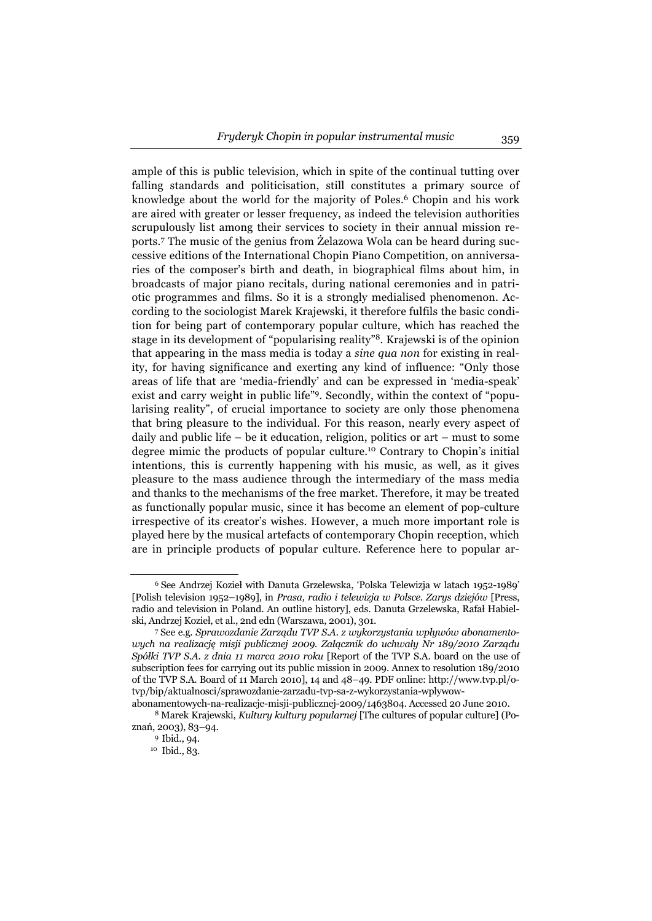ample of this is public television, which in spite of the continual tutting over falling standards and politicisation, still constitutes a primary source of knowledge about the world for the majority of Poles.6 Chopin and his work are aired with greater or lesser frequency, as indeed the television authorities scrupulously list among their services to society in their annual mission reports.7 The music of the genius from Żelazowa Wola can be heard during successive editions of the International Chopin Piano Competition, on anniversaries of the composer's birth and death, in biographical films about him, in broadcasts of major piano recitals, during national ceremonies and in patriotic programmes and films. So it is a strongly medialised phenomenon. According to the sociologist Marek Krajewski, it therefore fulfils the basic condition for being part of contemporary popular culture, which has reached the stage in its development of "popularising reality"8. Krajewski is of the opinion that appearing in the mass media is today a *sine qua non* for existing in reality, for having significance and exerting any kind of influence: "Only those areas of life that are 'media-friendly' and can be expressed in 'media-speak' exist and carry weight in public life"9. Secondly, within the context of "popularising reality", of crucial importance to society are only those phenomena that bring pleasure to the individual. For this reason, nearly every aspect of daily and public life – be it education, religion, politics or art – must to some degree mimic the products of popular culture.10 Contrary to Chopin's initial intentions, this is currently happening with his music, as well, as it gives pleasure to the mass audience through the intermediary of the mass media and thanks to the mechanisms of the free market. Therefore, it may be treated as functionally popular music, since it has become an element of pop-culture irrespective of its creator's wishes. However, a much more important role is played here by the musical artefacts of contemporary Chopin reception, which are in principle products of popular culture. Reference here to popular ar-

 <sup>6</sup> See Andrzej Kozieł with Danuta Grzelewska, 'Polska Telewizja w latach 1952-1989' [Polish television 1952–1989], in *Prasa, radio i telewizja w Polsce. Zarys dziejów* [Press, radio and television in Poland. An outline history], eds. Danuta Grzelewska, Rafał Habielski, Andrzej Kozieł, et al., 2nd edn (Warszawa, 2001), 301.

 <sup>7</sup> See e.g. *Sprawozdanie Zarządu TVP S.A. z wykorzystania wpływów abonamentowych na realizację misji publicznej 2009. Załącznik do uchwały Nr 189/2010 Zarządu Spółki TVP S.A. z dnia 11 marca 2010 roku* [Report of the TVP S.A. board on the use of subscription fees for carrying out its public mission in 2009. Annex to resolution 189/2010 of the TVP S.A. Board of 11 March 2010], 14 and 48–49. PDF online: http://www.tvp.pl/otvp/bip/aktualnosci/sprawozdanie-zarzadu-tvp-sa-z-wykorzystania-wplywow-

abonamentowych-na-realizacje-misji-publicznej-2009/1463804. Accessed 20 June 2010. 8 Marek Krajewski, *Kultury kultury popularnej* [The cultures of popular culture] (Poznań, 2003), 83–94.

 <sup>9</sup> Ibid., 94.

<sup>10</sup> Ibid., 83.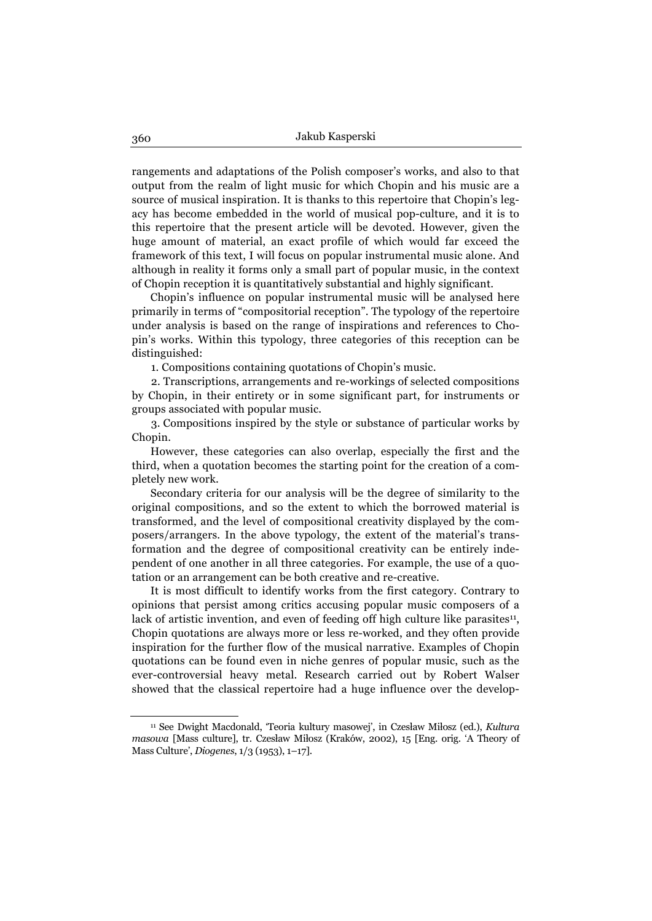rangements and adaptations of the Polish composer's works, and also to that output from the realm of light music for which Chopin and his music are a source of musical inspiration. It is thanks to this repertoire that Chopin's legacy has become embedded in the world of musical pop-culture, and it is to this repertoire that the present article will be devoted. However, given the huge amount of material, an exact profile of which would far exceed the framework of this text, I will focus on popular instrumental music alone. And although in reality it forms only a small part of popular music, in the context of Chopin reception it is quantitatively substantial and highly significant.

Chopin's influence on popular instrumental music will be analysed here primarily in terms of "compositorial reception". The typology of the repertoire under analysis is based on the range of inspirations and references to Chopin's works. Within this typology, three categories of this reception can be distinguished:

1. Compositions containing quotations of Chopin's music.

2. Transcriptions, arrangements and re-workings of selected compositions by Chopin, in their entirety or in some significant part, for instruments or groups associated with popular music.

3. Compositions inspired by the style or substance of particular works by Chopin.

However, these categories can also overlap, especially the first and the third, when a quotation becomes the starting point for the creation of a completely new work.

Secondary criteria for our analysis will be the degree of similarity to the original compositions, and so the extent to which the borrowed material is transformed, and the level of compositional creativity displayed by the composers/arrangers. In the above typology, the extent of the material's transformation and the degree of compositional creativity can be entirely independent of one another in all three categories. For example, the use of a quotation or an arrangement can be both creative and re-creative.

It is most difficult to identify works from the first category. Contrary to opinions that persist among critics accusing popular music composers of a lack of artistic invention, and even of feeding off high culture like parasites<sup>11</sup>, Chopin quotations are always more or less re-worked, and they often provide inspiration for the further flow of the musical narrative. Examples of Chopin quotations can be found even in niche genres of popular music, such as the ever-controversial heavy metal. Research carried out by Robert Walser showed that the classical repertoire had a huge influence over the develop-

<sup>11</sup> See Dwight Macdonald, 'Teoria kultury masowej', in Czesław Miłosz (ed.), *Kultura masowa* [Mass culture], tr. Czesław Miłosz (Kraków, 2002), 15 [Eng. orig. 'A Theory of Mass Culture', *Diogenes*, 1/3 (1953), 1–17].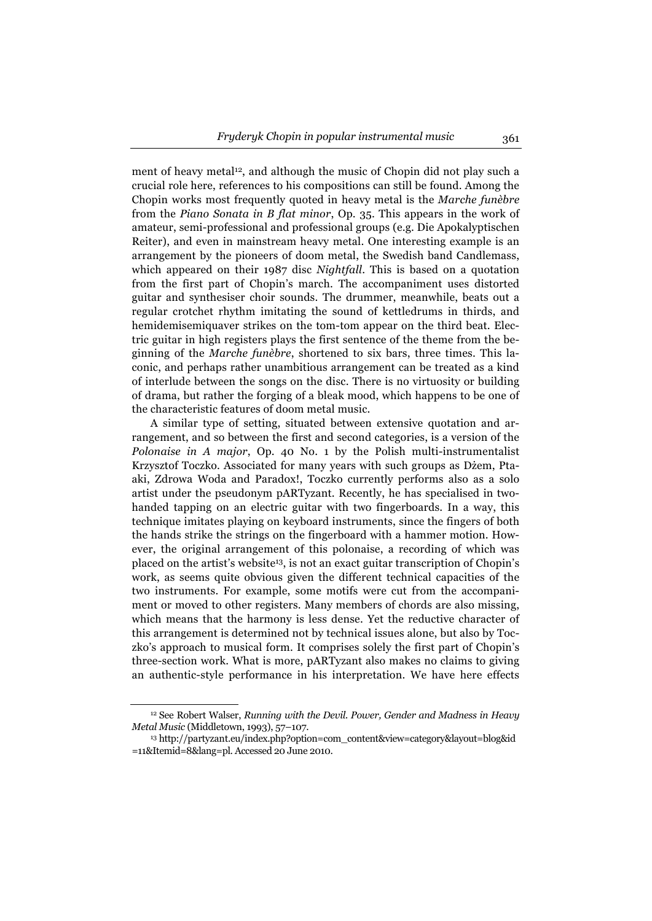ment of heavy metal<sup>12</sup>, and although the music of Chopin did not play such a crucial role here, references to his compositions can still be found. Among the Chopin works most frequently quoted in heavy metal is the *Marche funèbre*  from the *Piano Sonata in B flat minor*, Op. 35. This appears in the work of amateur, semi-professional and professional groups (e.g. Die Apokalyptischen Reiter), and even in mainstream heavy metal. One interesting example is an arrangement by the pioneers of doom metal, the Swedish band Candlemass, which appeared on their 1987 disc *Nightfall*. This is based on a quotation from the first part of Chopin's march. The accompaniment uses distorted guitar and synthesiser choir sounds. The drummer, meanwhile, beats out a regular crotchet rhythm imitating the sound of kettledrums in thirds, and hemidemisemiquaver strikes on the tom-tom appear on the third beat. Electric guitar in high registers plays the first sentence of the theme from the beginning of the *Marche funèbre*, shortened to six bars, three times. This laconic, and perhaps rather unambitious arrangement can be treated as a kind of interlude between the songs on the disc. There is no virtuosity or building of drama, but rather the forging of a bleak mood, which happens to be one of the characteristic features of doom metal music.

A similar type of setting, situated between extensive quotation and arrangement, and so between the first and second categories, is a version of the *Polonaise in A major*, Op. 40 No. 1 by the Polish multi-instrumentalist Krzysztof Toczko. Associated for many years with such groups as Dżem, Ptaaki, Zdrowa Woda and Paradox!, Toczko currently performs also as a solo artist under the pseudonym pARTyzant. Recently, he has specialised in twohanded tapping on an electric guitar with two fingerboards. In a way, this technique imitates playing on keyboard instruments, since the fingers of both the hands strike the strings on the fingerboard with a hammer motion. However, the original arrangement of this polonaise, a recording of which was placed on the artist's website13, is not an exact guitar transcription of Chopin's work, as seems quite obvious given the different technical capacities of the two instruments. For example, some motifs were cut from the accompaniment or moved to other registers. Many members of chords are also missing, which means that the harmony is less dense. Yet the reductive character of this arrangement is determined not by technical issues alone, but also by Toczko's approach to musical form. It comprises solely the first part of Chopin's three-section work. What is more, pARTyzant also makes no claims to giving an authentic-style performance in his interpretation. We have here effects

<sup>12</sup> See Robert Walser, *Running with the Devil. Power, Gender and Madness in Heavy Metal Music* (Middletown, 1993), 57–107. 13 http://partyzant.eu/index.php?option=com\_content&view=category&layout=blog&id

<sup>=11&</sup>amp;Itemid=8&lang=pl. Accessed 20 June 2010.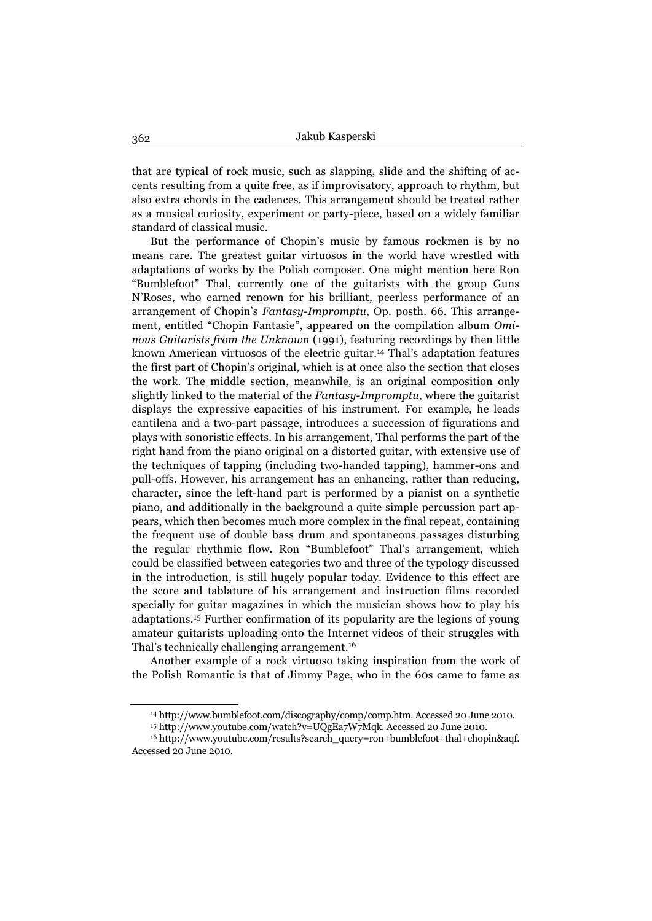that are typical of rock music, such as slapping, slide and the shifting of accents resulting from a quite free, as if improvisatory, approach to rhythm, but also extra chords in the cadences. This arrangement should be treated rather as a musical curiosity, experiment or party-piece, based on a widely familiar standard of classical music.

But the performance of Chopin's music by famous rockmen is by no means rare. The greatest guitar virtuosos in the world have wrestled with adaptations of works by the Polish composer. One might mention here Ron "Bumblefoot" Thal, currently one of the guitarists with the group Guns N'Roses, who earned renown for his brilliant, peerless performance of an arrangement of Chopin's *Fantasy-Impromptu*, Op. posth. 66. This arrangement, entitled "Chopin Fantasie", appeared on the compilation album *Ominous Guitarists from the Unknown* (1991), featuring recordings by then little known American virtuosos of the electric guitar.14 Thal's adaptation features the first part of Chopin's original, which is at once also the section that closes the work. The middle section, meanwhile, is an original composition only slightly linked to the material of the *Fantasy-Impromptu*, where the guitarist displays the expressive capacities of his instrument. For example, he leads cantilena and a two-part passage, introduces a succession of figurations and plays with sonoristic effects. In his arrangement, Thal performs the part of the right hand from the piano original on a distorted guitar, with extensive use of the techniques of tapping (including two-handed tapping), hammer-ons and pull-offs. However, his arrangement has an enhancing, rather than reducing, character, since the left-hand part is performed by a pianist on a synthetic piano, and additionally in the background a quite simple percussion part appears, which then becomes much more complex in the final repeat, containing the frequent use of double bass drum and spontaneous passages disturbing the regular rhythmic flow. Ron "Bumblefoot" Thal's arrangement, which could be classified between categories two and three of the typology discussed in the introduction, is still hugely popular today. Evidence to this effect are the score and tablature of his arrangement and instruction films recorded specially for guitar magazines in which the musician shows how to play his adaptations.15 Further confirmation of its popularity are the legions of young amateur guitarists uploading onto the Internet videos of their struggles with Thal's technically challenging arrangement.16

Another example of a rock virtuoso taking inspiration from the work of the Polish Romantic is that of Jimmy Page, who in the 60s came to fame as

<sup>14</sup> http://www.bumblefoot.com/discography/comp/comp.htm. Accessed 20 June 2010. 15 http://www.youtube.com/watch?v=UQgEa7W7Mqk. Accessed 20 June 2010.

<sup>16</sup> http://www.youtube.com/results?search\_query=ron+bumblefoot+thal+chopin&aqf. Accessed 20 June 2010.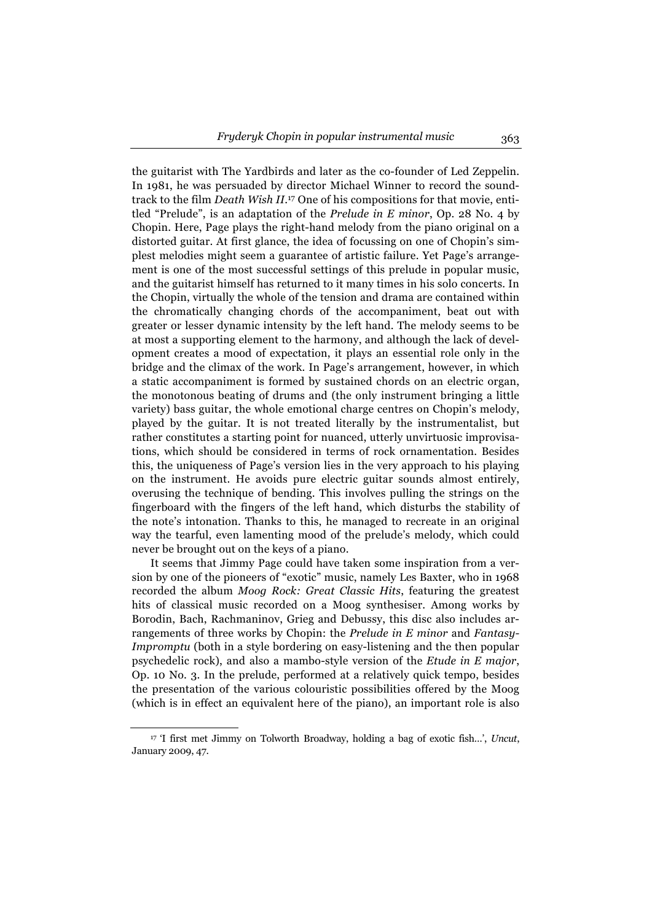the guitarist with The Yardbirds and later as the co-founder of Led Zeppelin. In 1981, he was persuaded by director Michael Winner to record the soundtrack to the film *Death Wish II*. 17 One of his compositions for that movie, entitled "Prelude", is an adaptation of the *Prelude in E minor*, Op. 28 No. 4 by Chopin. Here, Page plays the right-hand melody from the piano original on a distorted guitar. At first glance, the idea of focussing on one of Chopin's simplest melodies might seem a guarantee of artistic failure. Yet Page's arrangement is one of the most successful settings of this prelude in popular music, and the guitarist himself has returned to it many times in his solo concerts. In the Chopin, virtually the whole of the tension and drama are contained within the chromatically changing chords of the accompaniment, beat out with greater or lesser dynamic intensity by the left hand. The melody seems to be at most a supporting element to the harmony, and although the lack of development creates a mood of expectation, it plays an essential role only in the bridge and the climax of the work. In Page's arrangement, however, in which a static accompaniment is formed by sustained chords on an electric organ, the monotonous beating of drums and (the only instrument bringing a little variety) bass guitar, the whole emotional charge centres on Chopin's melody, played by the guitar. It is not treated literally by the instrumentalist, but rather constitutes a starting point for nuanced, utterly unvirtuosic improvisations, which should be considered in terms of rock ornamentation. Besides this, the uniqueness of Page's version lies in the very approach to his playing on the instrument. He avoids pure electric guitar sounds almost entirely, overusing the technique of bending. This involves pulling the strings on the fingerboard with the fingers of the left hand, which disturbs the stability of the note's intonation. Thanks to this, he managed to recreate in an original way the tearful, even lamenting mood of the prelude's melody, which could never be brought out on the keys of a piano.

It seems that Jimmy Page could have taken some inspiration from a version by one of the pioneers of "exotic" music, namely Les Baxter, who in 1968 recorded the album *Moog Rock: Great Classic Hits*, featuring the greatest hits of classical music recorded on a Moog synthesiser. Among works by Borodin, Bach, Rachmaninov, Grieg and Debussy, this disc also includes arrangements of three works by Chopin: the *Prelude in E minor* and *Fantasy-Impromptu* (both in a style bordering on easy-listening and the then popular psychedelic rock), and also a mambo-style version of the *Etude in E major*, Op. 10 No. 3. In the prelude, performed at a relatively quick tempo, besides the presentation of the various colouristic possibilities offered by the Moog (which is in effect an equivalent here of the piano), an important role is also

<sup>17 &#</sup>x27;I first met Jimmy on Tolworth Broadway, holding a bag of exotic fish…', *Uncut*, January 2009, 47.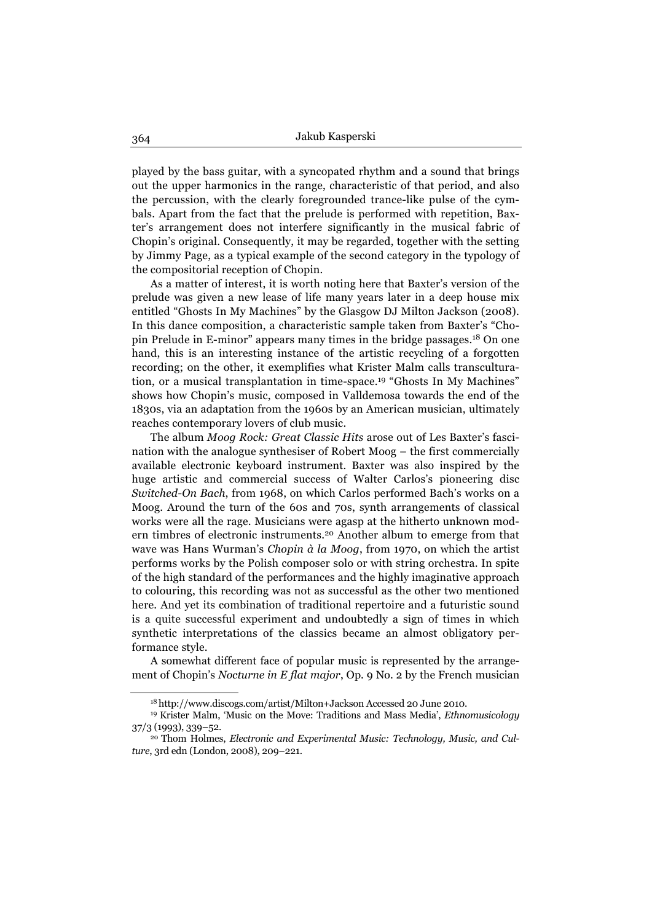played by the bass guitar, with a syncopated rhythm and a sound that brings out the upper harmonics in the range, characteristic of that period, and also the percussion, with the clearly foregrounded trance-like pulse of the cymbals. Apart from the fact that the prelude is performed with repetition, Baxter's arrangement does not interfere significantly in the musical fabric of Chopin's original. Consequently, it may be regarded, together with the setting by Jimmy Page, as a typical example of the second category in the typology of the compositorial reception of Chopin.

As a matter of interest, it is worth noting here that Baxter's version of the prelude was given a new lease of life many years later in a deep house mix entitled "Ghosts In My Machines" by the Glasgow DJ Milton Jackson (2008). In this dance composition, a characteristic sample taken from Baxter's "Chopin Prelude in E-minor" appears many times in the bridge passages.18 On one hand, this is an interesting instance of the artistic recycling of a forgotten recording; on the other, it exemplifies what Krister Malm calls transculturation, or a musical transplantation in time-space.19 "Ghosts In My Machines" shows how Chopin's music, composed in Valldemosa towards the end of the 1830s, via an adaptation from the 1960s by an American musician, ultimately reaches contemporary lovers of club music.

The album *Moog Rock: Great Classic Hits* arose out of Les Baxter's fascination with the analogue synthesiser of Robert Moog – the first commercially available electronic keyboard instrument. Baxter was also inspired by the huge artistic and commercial success of Walter Carlos's pioneering disc *Switched-On Bach*, from 1968, on which Carlos performed Bach's works on a Moog. Around the turn of the 60s and 70s, synth arrangements of classical works were all the rage. Musicians were agasp at the hitherto unknown modern timbres of electronic instruments.20 Another album to emerge from that wave was Hans Wurman's *Chopin à la Moog*, from 1970, on which the artist performs works by the Polish composer solo or with string orchestra. In spite of the high standard of the performances and the highly imaginative approach to colouring, this recording was not as successful as the other two mentioned here. And yet its combination of traditional repertoire and a futuristic sound is a quite successful experiment and undoubtedly a sign of times in which synthetic interpretations of the classics became an almost obligatory performance style.

A somewhat different face of popular music is represented by the arrangement of Chopin's *Nocturne in E flat major*, Op. 9 No. 2 by the French musician

<sup>18</sup> http://www.discogs.com/artist/Milton+Jackson Accessed 20 June 2010. 19 Krister Malm, 'Music on the Move: Traditions and Mass Media', *Ethnomusicology* 37/3 (1993), 339–52. 20 Thom Holmes, *Electronic and Experimental Music: Technology, Music, and Cul-*

*ture*, 3rd edn (London, 2008), 209–221.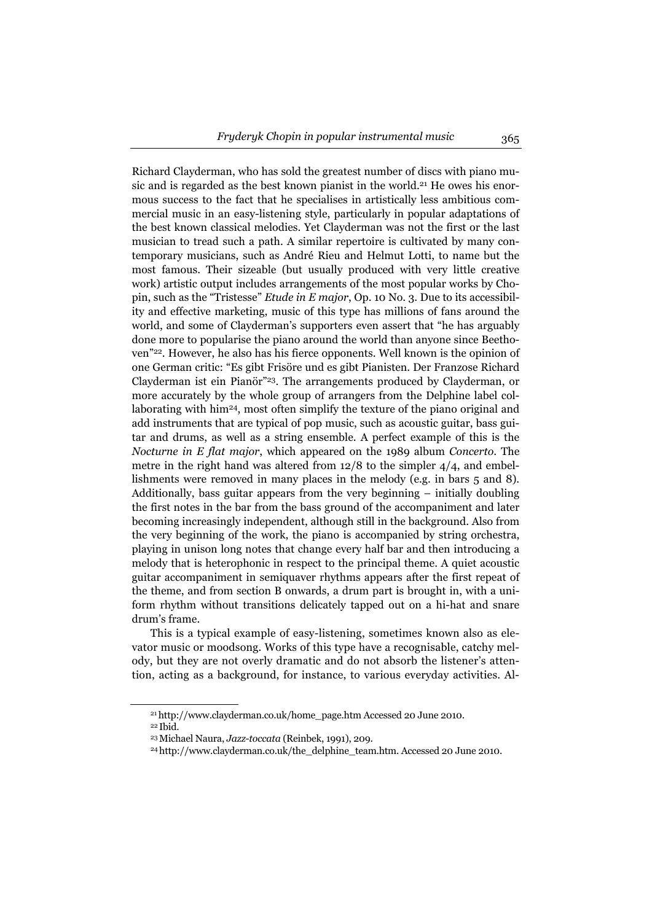Richard Clayderman, who has sold the greatest number of discs with piano music and is regarded as the best known pianist in the world.<sup>21</sup> He owes his enormous success to the fact that he specialises in artistically less ambitious commercial music in an easy-listening style, particularly in popular adaptations of the best known classical melodies. Yet Clayderman was not the first or the last musician to tread such a path. A similar repertoire is cultivated by many contemporary musicians, such as André Rieu and Helmut Lotti, to name but the most famous. Their sizeable (but usually produced with very little creative work) artistic output includes arrangements of the most popular works by Chopin, such as the "Tristesse" *Etude in E major*, Op. 10 No. 3. Due to its accessibility and effective marketing, music of this type has millions of fans around the world, and some of Clayderman's supporters even assert that "he has arguably done more to popularise the piano around the world than anyone since Beethoven"22. However, he also has his fierce opponents. Well known is the opinion of one German critic: "Es gibt Frisöre und es gibt Pianisten. Der Franzose Richard Clayderman ist ein Pianör"23. The arrangements produced by Clayderman, or more accurately by the whole group of arrangers from the Delphine label collaborating with him24, most often simplify the texture of the piano original and add instruments that are typical of pop music, such as acoustic guitar, bass guitar and drums, as well as a string ensemble. A perfect example of this is the *Nocturne in E flat major*, which appeared on the 1989 album *Concerto*. The metre in the right hand was altered from  $12/8$  to the simpler  $4/4$ , and embellishments were removed in many places in the melody (e.g. in bars 5 and 8). Additionally, bass guitar appears from the very beginning – initially doubling the first notes in the bar from the bass ground of the accompaniment and later becoming increasingly independent, although still in the background. Also from the very beginning of the work, the piano is accompanied by string orchestra, playing in unison long notes that change every half bar and then introducing a melody that is heterophonic in respect to the principal theme. A quiet acoustic guitar accompaniment in semiquaver rhythms appears after the first repeat of the theme, and from section B onwards, a drum part is brought in, with a uniform rhythm without transitions delicately tapped out on a hi-hat and snare drum's frame.

This is a typical example of easy-listening, sometimes known also as elevator music or moodsong. Works of this type have a recognisable, catchy melody, but they are not overly dramatic and do not absorb the listener's attention, acting as a background, for instance, to various everyday activities. Al-

<sup>21</sup> http://www.clayderman.co.uk/home\_page.htm Accessed 20 June 2010.

<sup>22</sup> Ibid.

<sup>&</sup>lt;sup>23</sup> Michael Naura, *Jazz-toccata* (Reinbek, 1991), 209.<br><sup>24</sup> http://www.clayderman.co.uk/the\_delphine\_team.htm. Accessed 20 June 2010.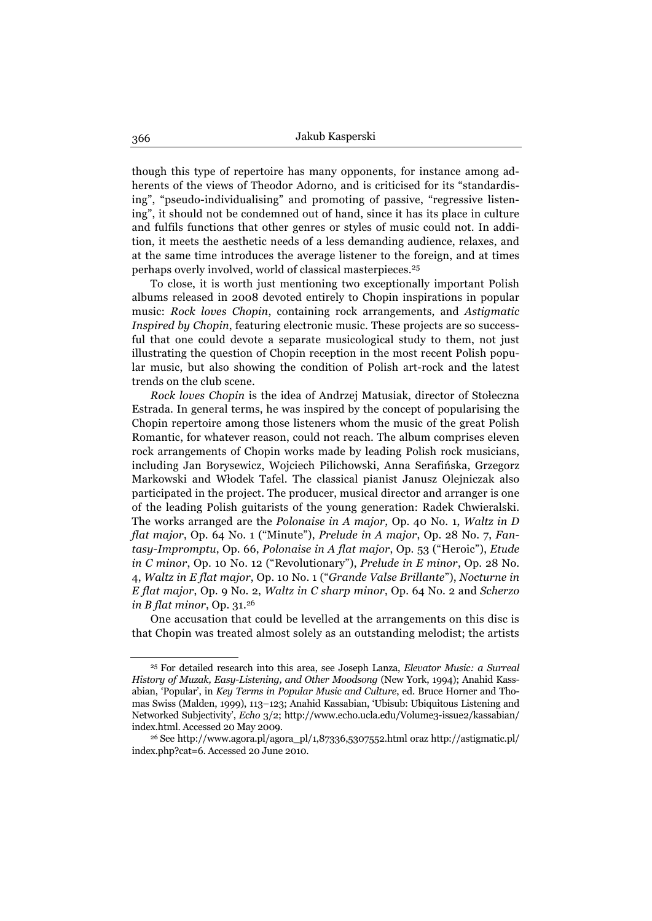though this type of repertoire has many opponents, for instance among adherents of the views of Theodor Adorno, and is criticised for its "standardising", "pseudo-individualising" and promoting of passive, "regressive listening", it should not be condemned out of hand, since it has its place in culture and fulfils functions that other genres or styles of music could not. In addition, it meets the aesthetic needs of a less demanding audience, relaxes, and at the same time introduces the average listener to the foreign, and at times perhaps overly involved, world of classical masterpieces.25

To close, it is worth just mentioning two exceptionally important Polish albums released in 2008 devoted entirely to Chopin inspirations in popular music: *Rock loves Chopin*, containing rock arrangements, and *Astigmatic Inspired by Chopin*, featuring electronic music. These projects are so successful that one could devote a separate musicological study to them, not just illustrating the question of Chopin reception in the most recent Polish popular music, but also showing the condition of Polish art-rock and the latest trends on the club scene.

*Rock loves Chopin* is the idea of Andrzej Matusiak, director of Stołeczna Estrada. In general terms, he was inspired by the concept of popularising the Chopin repertoire among those listeners whom the music of the great Polish Romantic, for whatever reason, could not reach. The album comprises eleven rock arrangements of Chopin works made by leading Polish rock musicians, including Jan Borysewicz, Wojciech Pilichowski, Anna Serafińska, Grzegorz Markowski and Włodek Tafel. The classical pianist Janusz Olejniczak also participated in the project. The producer, musical director and arranger is one of the leading Polish guitarists of the young generation: Radek Chwieralski. The works arranged are the *Polonaise in A major*, Op. 40 No. 1, *Waltz in D flat major*, Op. 64 No. 1 ("Minute"), *Prelude in A major*, Op. 28 No. 7, *Fantasy-Impromptu*, Op. 66, *Polonaise in A flat major*, Op. 53 ("Heroic"), *Etude in C minor*, Op. 10 No. 12 ("Revolutionary"), *Prelude in E minor*, Op. 28 No. 4, *Waltz in E flat major*, Op. 10 No. 1 ("*Grande Valse Brillante*"), *Nocturne in E flat major*, Op. 9 No. 2, *Waltz in C sharp minor*, Op. 64 No. 2 and *Scherzo in B flat minor*, Op. 31.26

One accusation that could be levelled at the arrangements on this disc is that Chopin was treated almost solely as an outstanding melodist; the artists

<sup>25</sup> For detailed research into this area, see Joseph Lanza, *Elevator Music: a Surreal History of Muzak, Easy-Listening, and Other Moodsong* (New York, 1994); Anahid Kassabian, 'Popular', in *Key Terms in Popular Music and Culture*, ed. Bruce Horner and Thomas Swiss (Malden, 1999), 113–123; Anahid Kassabian, 'Ubisub: Ubiquitous Listening and Networked Subjectivity', *Echo* 3/2; http://www.echo.ucla.edu/Volume3-issue2/kassabian/ index.html. Accessed 20 May 2009.<br><sup>26</sup> See http://www.agora.pl/agora\_pl/1,87336,5307552.html oraz http://astigmatic.pl/

index.php?cat=6. Accessed 20 June 2010.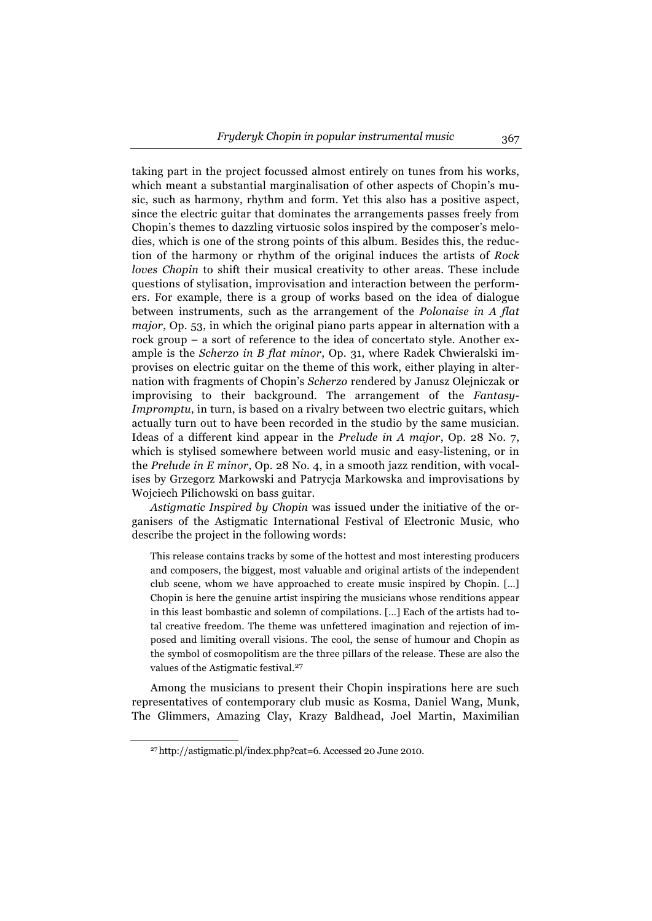taking part in the project focussed almost entirely on tunes from his works, which meant a substantial marginalisation of other aspects of Chopin's music, such as harmony, rhythm and form. Yet this also has a positive aspect, since the electric guitar that dominates the arrangements passes freely from Chopin's themes to dazzling virtuosic solos inspired by the composer's melodies, which is one of the strong points of this album. Besides this, the reduction of the harmony or rhythm of the original induces the artists of *Rock loves Chopin* to shift their musical creativity to other areas. These include questions of stylisation, improvisation and interaction between the performers. For example, there is a group of works based on the idea of dialogue between instruments, such as the arrangement of the *Polonaise in A flat major*, Op. 53, in which the original piano parts appear in alternation with a rock group – a sort of reference to the idea of concertato style. Another example is the *Scherzo in B flat minor*, Op. 31, where Radek Chwieralski improvises on electric guitar on the theme of this work, either playing in alternation with fragments of Chopin's *Scherzo* rendered by Janusz Olejniczak or improvising to their background. The arrangement of the *Fantasy-Impromptu*, in turn, is based on a rivalry between two electric guitars, which actually turn out to have been recorded in the studio by the same musician. Ideas of a different kind appear in the *Prelude in A major*, Op. 28 No. 7, which is stylised somewhere between world music and easy-listening, or in the *Prelude in E minor*, Op. 28 No. 4, in a smooth jazz rendition, with vocalises by Grzegorz Markowski and Patrycja Markowska and improvisations by Wojciech Pilichowski on bass guitar.

*Astigmatic Inspired by Chopin* was issued under the initiative of the organisers of the Astigmatic International Festival of Electronic Music, who describe the project in the following words:

This release contains tracks by some of the hottest and most interesting producers and composers, the biggest, most valuable and original artists of the independent club scene, whom we have approached to create music inspired by Chopin. [...] Chopin is here the genuine artist inspiring the musicians whose renditions appear in this least bombastic and solemn of compilations. […] Each of the artists had total creative freedom. The theme was unfettered imagination and rejection of imposed and limiting overall visions. The cool, the sense of humour and Chopin as the symbol of cosmopolitism are the three pillars of the release. These are also the values of the Astigmatic festival.<sup>27</sup>

Among the musicians to present their Chopin inspirations here are such representatives of contemporary club music as Kosma, Daniel Wang, Munk, The Glimmers, Amazing Clay, Krazy Baldhead, Joel Martin, Maximilian

<sup>27</sup> http://astigmatic.pl/index.php?cat=6. Accessed 20 June 2010.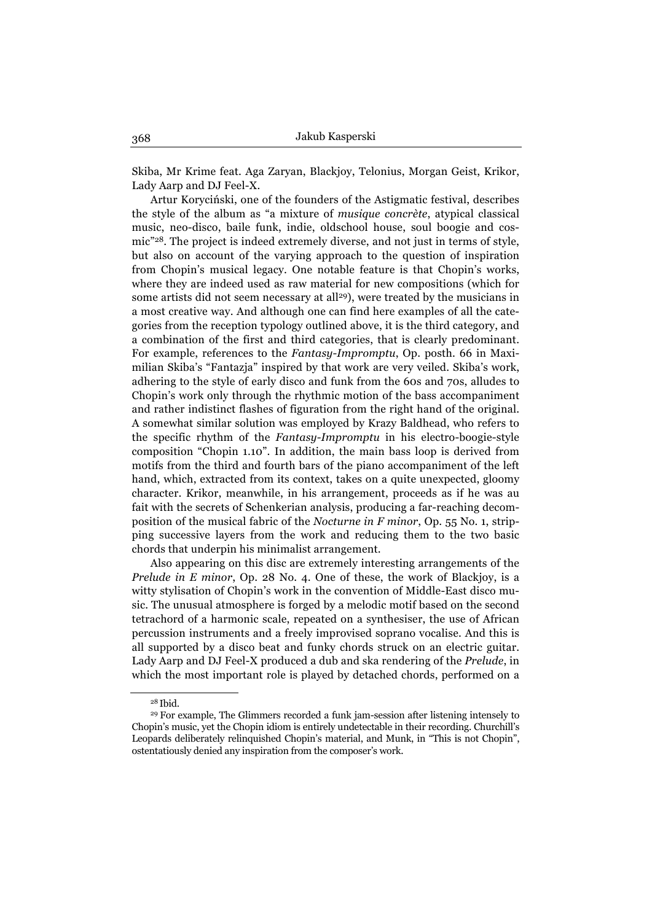Skiba, Mr Krime feat. Aga Zaryan, Blackjoy, Telonius, Morgan Geist, Krikor, Lady Aarp and DJ Feel-X.

Artur Koryciński, one of the founders of the Astigmatic festival, describes the style of the album as "a mixture of *musique concrète*, atypical classical music, neo-disco, baile funk, indie, oldschool house, soul boogie and cosmic"28. The project is indeed extremely diverse, and not just in terms of style, but also on account of the varying approach to the question of inspiration from Chopin's musical legacy. One notable feature is that Chopin's works, where they are indeed used as raw material for new compositions (which for some artists did not seem necessary at all<sup>29</sup>), were treated by the musicians in a most creative way. And although one can find here examples of all the categories from the reception typology outlined above, it is the third category, and a combination of the first and third categories, that is clearly predominant. For example, references to the *Fantasy-Impromptu*, Op. posth. 66 in Maximilian Skiba's "Fantazja" inspired by that work are very veiled. Skiba's work, adhering to the style of early disco and funk from the 60s and 70s, alludes to Chopin's work only through the rhythmic motion of the bass accompaniment and rather indistinct flashes of figuration from the right hand of the original. A somewhat similar solution was employed by Krazy Baldhead, who refers to the specific rhythm of the *Fantasy-Impromptu* in his electro-boogie-style composition "Chopin 1.10". In addition, the main bass loop is derived from motifs from the third and fourth bars of the piano accompaniment of the left hand, which, extracted from its context, takes on a quite unexpected, gloomy character. Krikor, meanwhile, in his arrangement, proceeds as if he was au fait with the secrets of Schenkerian analysis, producing a far-reaching decomposition of the musical fabric of the *Nocturne in F minor*, Op. 55 No. 1, stripping successive layers from the work and reducing them to the two basic chords that underpin his minimalist arrangement.

Also appearing on this disc are extremely interesting arrangements of the *Prelude in E minor*, Op. 28 No. 4. One of these, the work of Blackjoy, is a witty stylisation of Chopin's work in the convention of Middle-East disco music. The unusual atmosphere is forged by a melodic motif based on the second tetrachord of a harmonic scale, repeated on a synthesiser, the use of African percussion instruments and a freely improvised soprano vocalise. And this is all supported by a disco beat and funky chords struck on an electric guitar. Lady Aarp and DJ Feel-X produced a dub and ska rendering of the *Prelude*, in which the most important role is played by detached chords, performed on a

 $28$  Ibid.<br> $29$  For example. The Glimmers recorded a funk jam-session after listening intensely to Chopin's music, yet the Chopin idiom is entirely undetectable in their recording. Churchill's Leopards deliberately relinquished Chopin's material, and Munk, in "This is not Chopin", ostentatiously denied any inspiration from the composer's work.